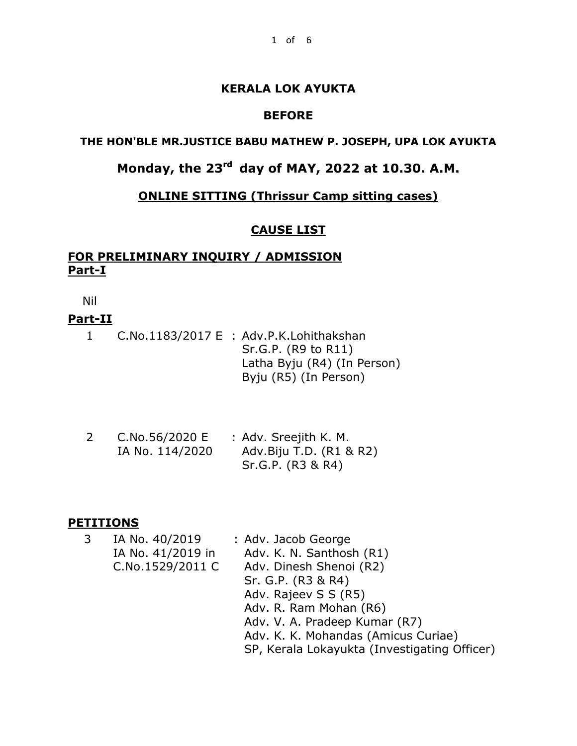# **KERALA LOK AYUKTA**

# **BEFORE**

# **THE HON'BLE MR.JUSTICE BABU MATHEW P. JOSEPH, UPA LOK AYUKTA**

# **Monday, the 23rd day of MAY, 2022 at 10.30. A.M.**

# **ONLINE SITTING (Thrissur Camp sitting cases)**

## **CAUSE LIST**

# **FOR PRELIMINARY INQUIRY / ADMISSION Part-I**

Nil

### **Part-II**

|  | C.No.1183/2017 E : Adv.P.K.Lohithakshan |
|--|-----------------------------------------|
|  | Sr.G.P. (R9 to R11)                     |
|  | Latha Byju (R4) (In Person)             |
|  | Byju (R5) (In Person)                   |

| C.No.56/2020 E  | : Adv. Sreejith K. M.   |
|-----------------|-------------------------|
| IA No. 114/2020 | Adv.Biju T.D. (R1 & R2) |
|                 | Sr.G.P. (R3 & R4)       |

#### **PETITIONS**

| 3 | IA No. 40/2019    | : Adv. Jacob George                          |
|---|-------------------|----------------------------------------------|
|   | IA No. 41/2019 in | Adv. K. N. Santhosh (R1)                     |
|   | C.No.1529/2011 C  | Adv. Dinesh Shenoi (R2)                      |
|   |                   | Sr. G.P. (R3 & R4)                           |
|   |                   | Adv. Rajeev S S (R5)                         |
|   |                   | Adv. R. Ram Mohan (R6)                       |
|   |                   | Adv. V. A. Pradeep Kumar (R7)                |
|   |                   | Adv. K. K. Mohandas (Amicus Curiae)          |
|   |                   | SP, Kerala Lokayukta (Investigating Officer) |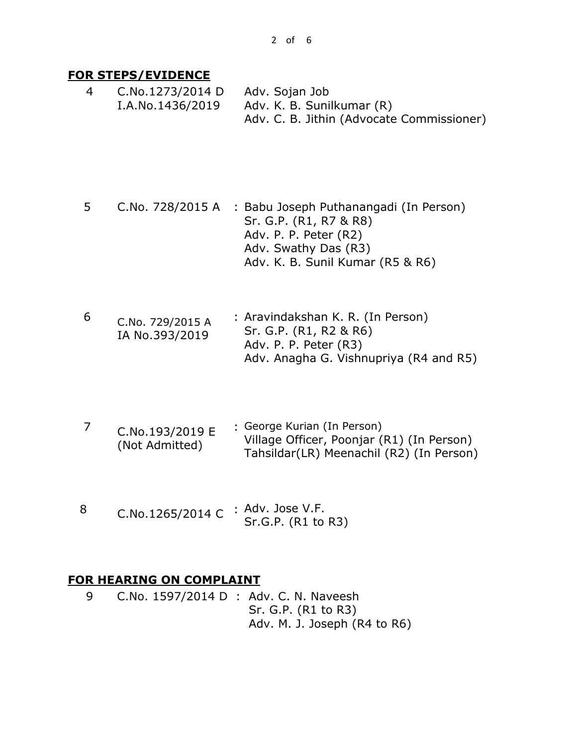#### **FOR STEPS/EVIDENCE**

4 C.No.1273/2014 D I.A.No.1436/2019 Adv. Sojan Job Adv. K. B. Sunilkumar (R) Adv. C. B. Jithin (Advocate Commissioner)

- 5 C.No. 728/2015 A : Babu Joseph Puthanangadi (In Person) Sr. G.P. (R1, R7 & R8) Adv. P. P. Peter (R2) Adv. Swathy Das (R3) Adv. K. B. Sunil Kumar (R5 & R6)
- 6 C.No. 729/2015 A IA No.393/2019 : Aravindakshan K. R. (In Person) Sr. G.P. (R1, R2 & R6) Adv. P. P. Peter (R3) Adv. Anagha G. Vishnupriya (R4 and R5)
- 7 C.No.193/2019 E (Not Admitted) : George Kurian (In Person) Village Officer, Poonjar (R1) (In Person) Tahsildar(LR) Meenachil (R2) (In Person)
- 8 C.No.1265/2014 C : Adv. Jose V.F. Sr.G.P. (R1 to R3)

### **FOR HEARING ON COMPLAINT**

9 C.No. 1597/2014 D : Adv. C. N. Naveesh Sr. G.P. (R1 to R3) Adv. M. J. Joseph (R4 to R6)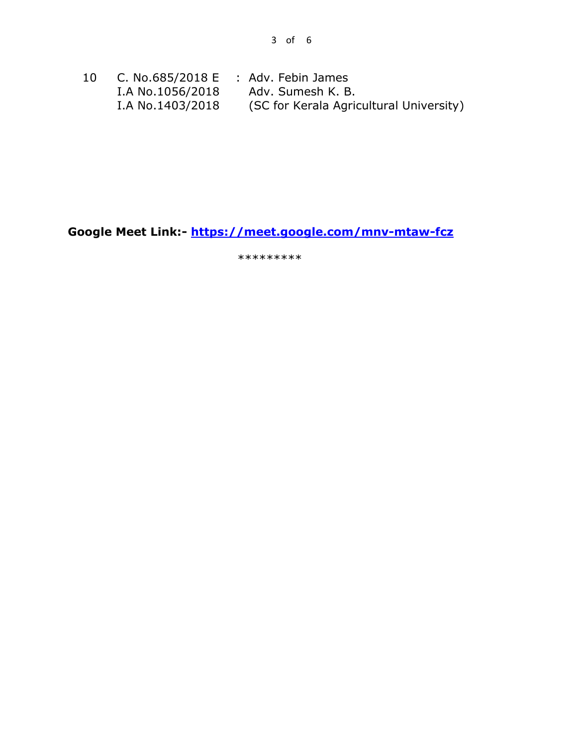| 10 |                  | C. No.685/2018 $E$ : Adv. Febin James   |
|----|------------------|-----------------------------------------|
|    | I.A No.1056/2018 | Adv. Sumesh K. B.                       |
|    | I.A No.1403/2018 | (SC for Kerala Agricultural University) |

**Google Meet Link:- <https://meet.google.com/mnv-mtaw-fcz>**

\*\*\*\*\*\*\*\*\*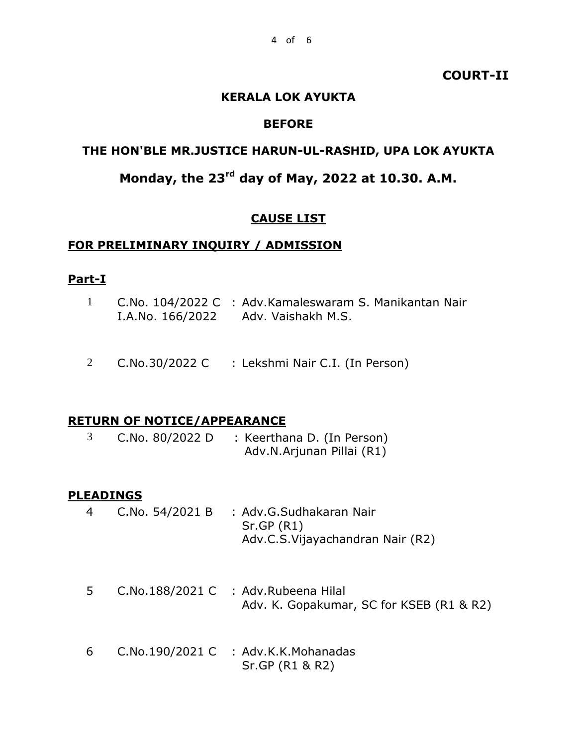### **COURT-II**

#### **KERALA LOK AYUKTA**

### **BEFORE**

### **THE HON'BLE MR.JUSTICE HARUN-UL-RASHID, UPA LOK AYUKTA**

# **Monday, the 23rd day of May, 2022 at 10.30. A.M.**

#### **CAUSE LIST**

#### **FOR PRELIMINARY INQUIRY / ADMISSION**

### **Part-I**

- 1 C.No. 104/2022 C : Adv.Kamaleswaram S. Manikantan Nair I.A.No. 166/2022 Adv. Vaishakh M.S.
- 2 C.No.30/2022 C : Lekshmi Nair C.I. (In Person)

#### **RETURN OF NOTICE/APPEARANCE**

3 C.No. 80/2022 D : Keerthana D. (In Person) Adv.N.Arjunan Pillai (R1)

#### **PLEADINGS**

- 4 C.No. 54/2021 B : Adv.G.Sudhakaran Nair Sr.GP (R1) Adv.C.S.Vijayachandran Nair (R2)
- 5 C.No.188/2021 C : Adv.Rubeena Hilal Adv. K. Gopakumar, SC for KSEB (R1 & R2)
- 6 C.No.190/2021 C : Adv.K.K.Mohanadas Sr.GP (R1 & R2)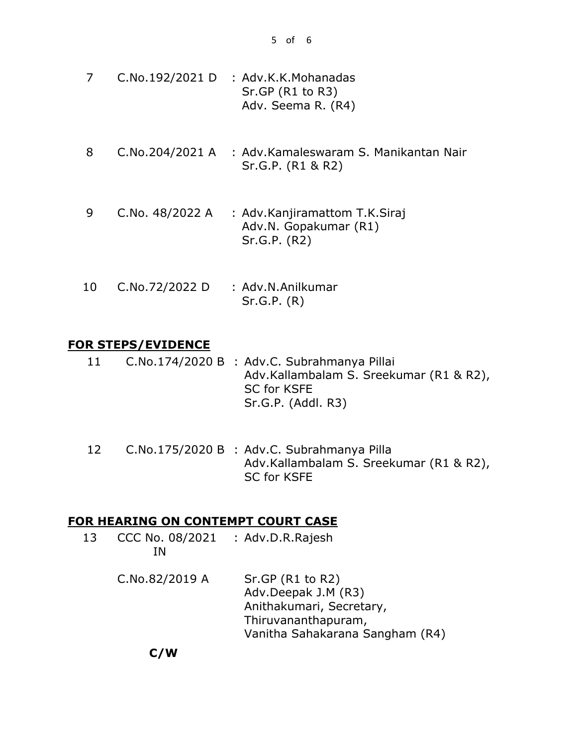- 7 C.No.192/2021 D : Adv.K.K.Mohanadas Sr.GP (R1 to R3) Adv. Seema R. (R4)
- 8 C.No.204/2021 A : Adv.Kamaleswaram S. Manikantan Nair Sr.G.P. (R1 & R2)
- 9 C.No. 48/2022 A : Adv.Kanjiramattom T.K.Siraj Adv.N. Gopakumar (R1) Sr.G.P. (R2)
- 10 C.No.72/2022 D : Adv.N.Anilkumar Sr.G.P. (R)

### **FOR STEPS/EVIDENCE**

- 11 C.No.174/2020 B : Adv.C. Subrahmanya Pillai Adv.Kallambalam S. Sreekumar (R1 & R2), SC for KSFE Sr.G.P. (Addl. R3)
- 12 C.No.175/2020 B : Adv.C. Subrahmanya Pilla Adv.Kallambalam S. Sreekumar (R1 & R2), SC for KSFE

### **FOR HEARING ON CONTEMPT COURT CASE**

- 13 CCC No. 08/2021 : Adv.D.R.Rajesh IN
	- C.No.82/2019 A Sr.GP (R1 to R2) Adv.Deepak J.M (R3) Anithakumari, Secretary, Thiruvananthapuram, Vanitha Sahakarana Sangham (R4)

**C/W**